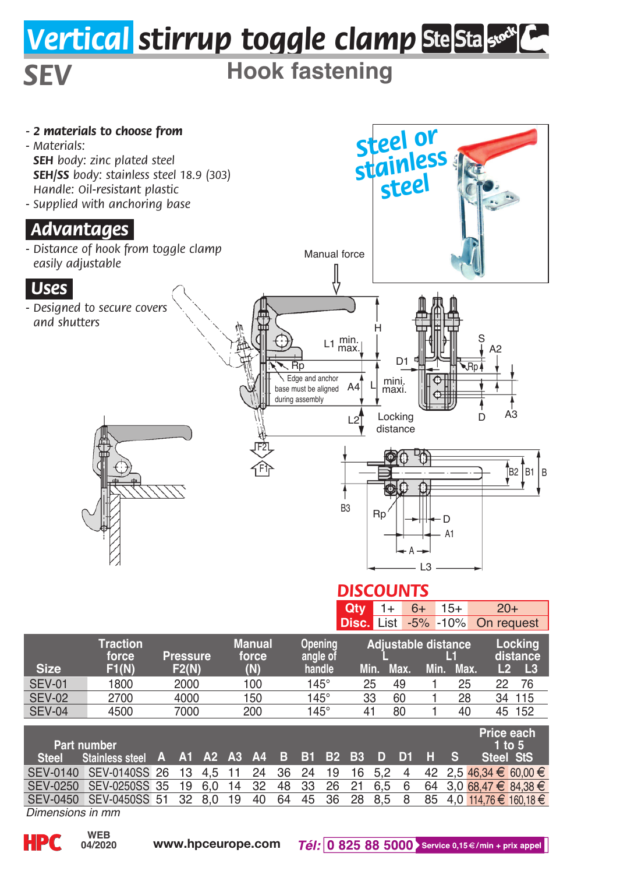## *Vertical stirrup toggle clamp*

## *SEV* **Hook fastening**



*Dimensions in mm*

**04/2020**